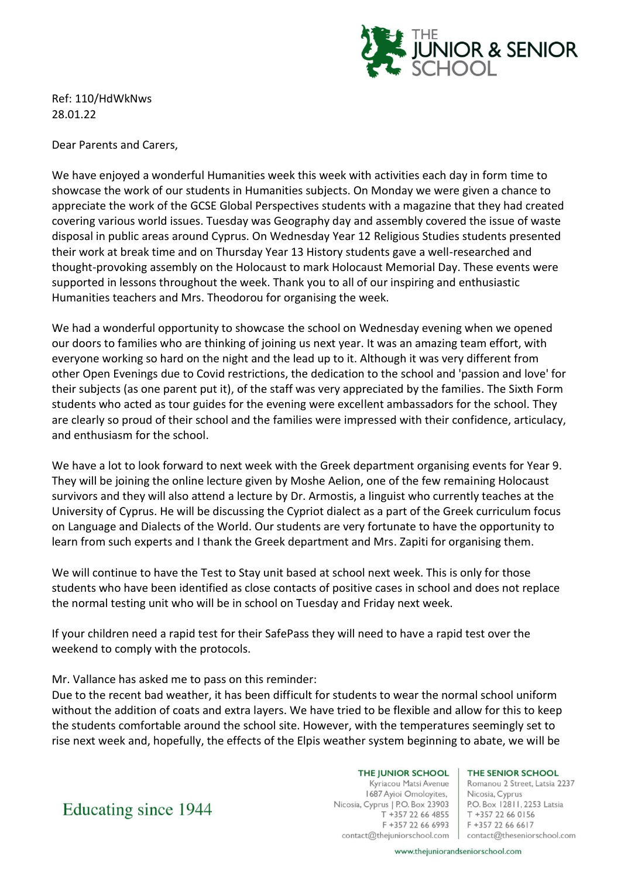

Ref: 110/HdWkNws 28.01.22

Dear Parents and Carers,

We have enjoyed a wonderful Humanities week this week with activities each day in form time to showcase the work of our students in Humanities subjects. On Monday we were given a chance to appreciate the work of the GCSE Global Perspectives students with a magazine that they had created covering various world issues. Tuesday was Geography day and assembly covered the issue of waste disposal in public areas around Cyprus. On Wednesday Year 12 Religious Studies students presented their work at break time and on Thursday Year 13 History students gave a well-researched and thought-provoking assembly on the Holocaust to mark Holocaust Memorial Day. These events were supported in lessons throughout the week. Thank you to all of our inspiring and enthusiastic Humanities teachers and Mrs. Theodorou for organising the week.

We had a wonderful opportunity to showcase the school on Wednesday evening when we opened our doors to families who are thinking of joining us next year. It was an amazing team effort, with everyone working so hard on the night and the lead up to it. Although it was very different from other Open Evenings due to Covid restrictions, the dedication to the school and 'passion and love' for their subjects (as one parent put it), of the staff was very appreciated by the families. The Sixth Form students who acted as tour guides for the evening were excellent ambassadors for the school. They are clearly so proud of their school and the families were impressed with their confidence, articulacy, and enthusiasm for the school.

We have a lot to look forward to next week with the Greek department organising events for Year 9. They will be joining the online lecture given by Moshe Aelion, one of the few remaining Holocaust survivors and they will also attend a lecture by Dr. Armostis, a linguist who currently teaches at the University of Cyprus. He will be discussing the Cypriot dialect as a part of the Greek curriculum focus on Language and Dialects of the World. Our students are very fortunate to have the opportunity to learn from such experts and I thank the Greek department and Mrs. Zapiti for organising them.

We will continue to have the Test to Stay unit based at school next week. This is only for those students who have been identified as close contacts of positive cases in school and does not replace the normal testing unit who will be in school on Tuesday and Friday next week.

If your children need a rapid test for their SafePass they will need to have a rapid test over the weekend to comply with the protocols.

# Mr. Vallance has asked me to pass on this reminder:

Due to the recent bad weather, it has been difficult for students to wear the normal school uniform without the addition of coats and extra layers. We have tried to be flexible and allow for this to keep the students comfortable around the school site. However, with the temperatures seemingly set to rise next week and, hopefully, the effects of the Elpis weather system beginning to abate, we will be

## THE JUNIOR SCHOOL

Kyriacou Matsi Avenue 1687 Ayioi Omoloyites, Nicosia, Cyprus | P.O. Box 23903 T +357 22 66 4855 F +357 22 66 6993 contact@thejuniorschool.com

#### THE SENIOR SCHOOL

Romanou 2 Street, Latsia 2237 Nicosia, Cyprus P.O. Box 12811, 2253 Latsia T +357 22 66 0156 F +357 22 66 6617 contact@theseniorschool.com

Educating since 1944